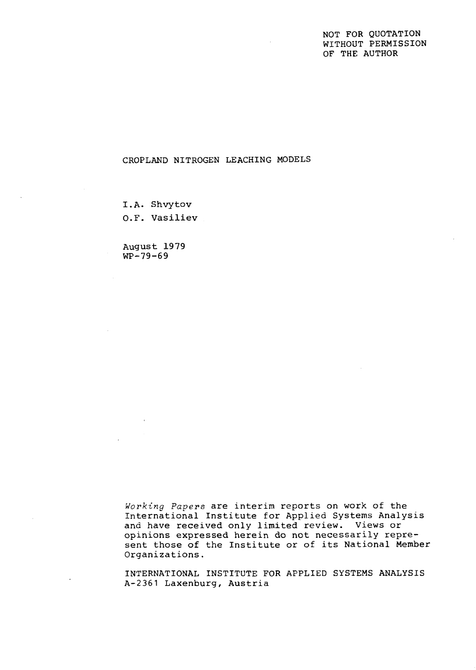NOT FOR QUOTATION WITHOUT PERMISSION OF THE AUTHOR

#### CROPLAND NITROGEN LEACHING MODELS

I.A. Shvytov O.F. Vasiliev

August 1979  $WP-79-69$ 

**Working** *Papers* are interim reports on work of the International Institute for Applied Systems Analysis and have received only limited review. Views or opinions expressed herein do not necessarily represent those of the Institute or of its National Member Organizations.

INTERNATIONAL INSTITUTE FOR APPLIED SYSTEMS ANALYSIS A-2361 Laxenburg, Austria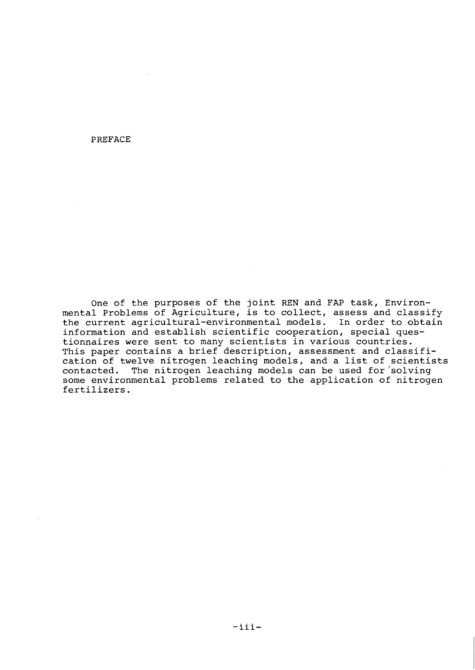#### PREFACE

One of the purposes of the joint REN and FAP task, Environmental Problems of Agriculture, is to collect, assess and classify the current agricultural-environmental models. In order to obtain information and establish scientific cooperation, special questionnaires were sent to many scientists in various countries. This paper contains a brief description, assessment and classification of twelve nitrogen leaching models, and a list of scientists contacted. The nitrogen leaching models can be used for'solving some environmental problems related to the application of nitrogen fertilizers.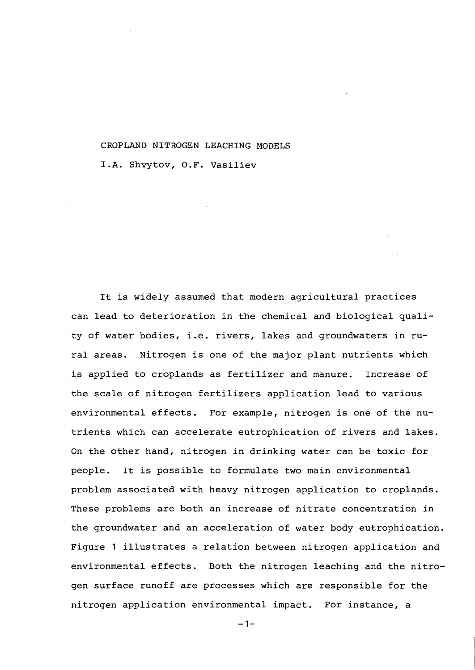## CROPLAND NITROGEN LEACHING MODELS

I.A. Shvytov, O.F. Vasiliev

It is widely assumed that modern agricultural practices can lead to deterioration in the chemical and biological quality of water bodies, i.e. rivers, lakes and groundwaters in rural areas. Nitrogen is one of the major plant nutrients which is applied to croplands as fertilizer and manure. Increase of the scale of nitrogen fertilizers application lead to various environmental effects. For example, nitrogen is one of the nutrients which can accelerate eutrophication of rivers and lakes. On the other hand, nitrogen in drinking water can be toxic for people. It is possible to formulate two main environmental problem associated with heavy nitrogen application to croplands. These problems are both an increase of nitrate concentration in the groundwater and an acceleration of water body eutrophication. Figure 1 illustrates a relation between nitrogen application and environmental effects. Both the nitrogen leaching and the nitrogen surface runoff are processes which are responsible for the nitrogen application environmental impact. For instance, a

 $-1-$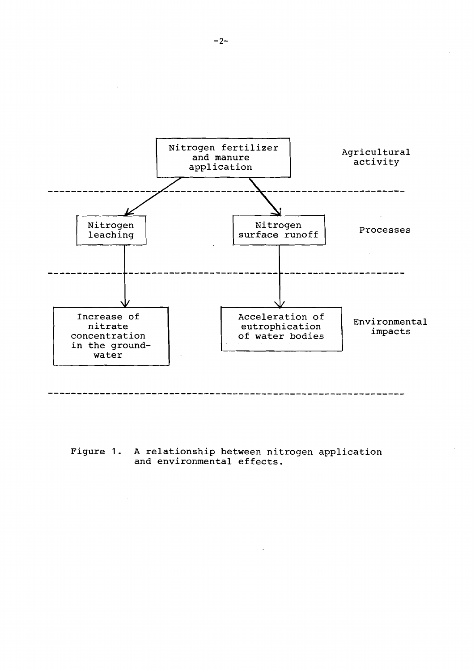

**Figure 1. A relationship between nitrogen application and environmental effects.**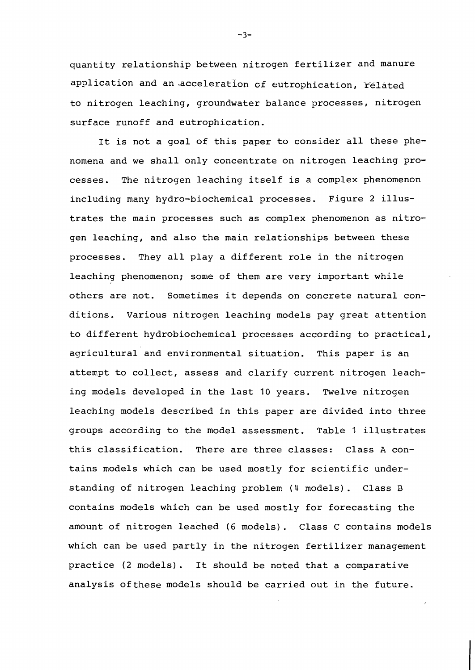quantity relationship between nitrogen fertilizer and manure application and an acceleration **cf** eutrophication, related to nitrogen leaching, groundwater balance processes, nitrogen surface runoff and eutrophication.

It is not a goal of this paper to consider all these phenomena and we shall only concentrate on nitrogen leaching processes. The nitrogen leaching itself is a complex phenomenon including many hydro-biochemical processes. Figure 2 illustrates the main processes such as complex phenomenon as nitrogen leaching, and also the main relationships between these processes. They all play a different role in the nitrogen leaching phenomenon; some of them are very important while others are not. Sometimes it depends on concrete natural conditions. Various nitrogen leaching models pay great attention to different hydrobiochemical processes according to practical, agricultural and environmental situation. This paper is an attempt to collect, assess and clarify current nitrogen leaching models developed in the last 10 years. Twelve nitrogen leaching models described in this paper are divided into three groups according to the model assessment. Table 1 illustrates this classification. There are three classes: Class **A** contains models which can be used mostly for scientific understanding of nitrogen leaching problem (4 models). Class B contains models which can be used mostly for forecasting the amount of nitrogen leached (6 models). Class C contains models which can be used partly in the nitrogen fertilizer management practice (2 models). It should be noted that a comparative analysis ofthese models should be carried out in the future.

 $-3-$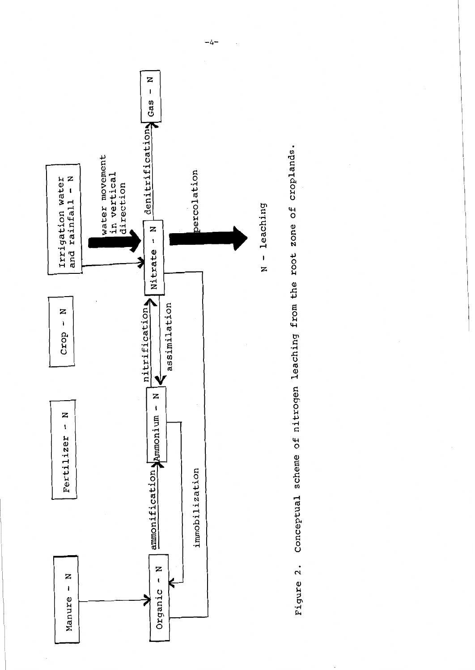

Conceptual scheme of nitrogen leaching from the root zone of croplands. Figure 2.

÷,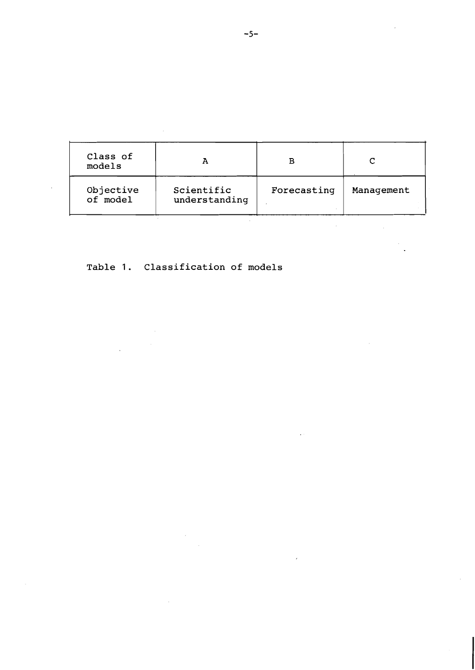| Class of<br>models    | А                           |             |            |  |
|-----------------------|-----------------------------|-------------|------------|--|
| Objective<br>of model | Scientific<br>understanding | Forecasting | Management |  |

 $\hat{\boldsymbol{\gamma}}$ 

 $\mathcal{A}^{\mathcal{A}}$ 

 $\ddot{\phantom{a}}$ 

**Table 1. Classification of models** 

 $\bar{\mathcal{A}}$ 

 $\ddot{\phantom{a}}$ 

 $\mathcal{L}_{\mathcal{A}}$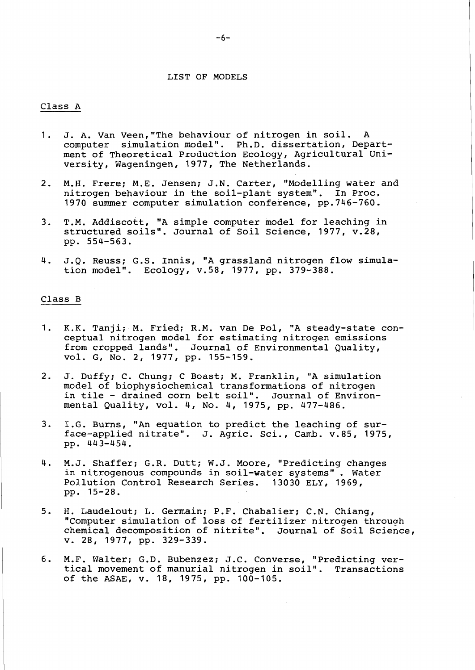#### LIST OF MODELS

#### Class A

- 1. J. A. Van Veen, "The behaviour of nitrogen in soil. A computer simulation model". Ph.D. dissertation, Department of Theoretical Production Ecology, Agricultural University, Wageningen, 1977, The Netherlands.
- 2. M.H. Frere; M.E. Jensen; J.N. Carter, "Modelling water and nitrogen behaviour in the soil-plant system". In Proc. 1970 summer computer simulation conference, pp.746-760.
- 3. T.M. Addiscott, "A simple computer model for leaching in structured soils". Journal of Soil Science, 1977, v.28, pp. 554-563.
- 4. J.Q. Reuss; G.S. Innis, "A grassland nitrogen flow simulation model". Ecology, v.58, 1977, pp. 379-388.

#### Class B

- 1. K.K. Tanji;.M. Fried; R.M. van De Pol, "A steady-state conceptual nitrogen model for estimating nitrogen emissions from cropped lands". Journal of Environmental Quality, vol. G, No. 2, 1977, pp. 155-159.
- 2. J. Duffy; C. Chung; C Boast; M. Franklin, "A simulation model of biophysiochemical transformations of nitrogen in tile - drained corn belt soil". Journal of Environmental Quality, vol. 4, No. 4, 1975, pp. 477-486.
- 3. I.G. Burns, "An equation to predict the leaching of surface-applied nitrate". J. Agric. Sci., Camb. v.85, 1975, pp. 443-454.
- 4. M.J. Shaffer; G.R. Dutt; W.J. Moore, "Predicting changes in nitrogenous compounds in soil-water systems" . Water Pollution Control Research Series. 13030 ELY, 1969, pp. 15-28.
- 5. H. Laudelout; L. Germain; P.F. Chabalier; C.N. Chiang, "Computer simulation of loss of fertilizer nitrogen throuqh chemical decomposition of nitrite". Journal of Soil Science, v. 28, 1977, pp. 329-339.
- 6. M.F. Walter; G.D. Bubenzez; J.C. Converse, "Predicting vertical movement of manurial nitrogen in soil". Transactions of the ASAE, v. 18, 1975, pp. 100-105.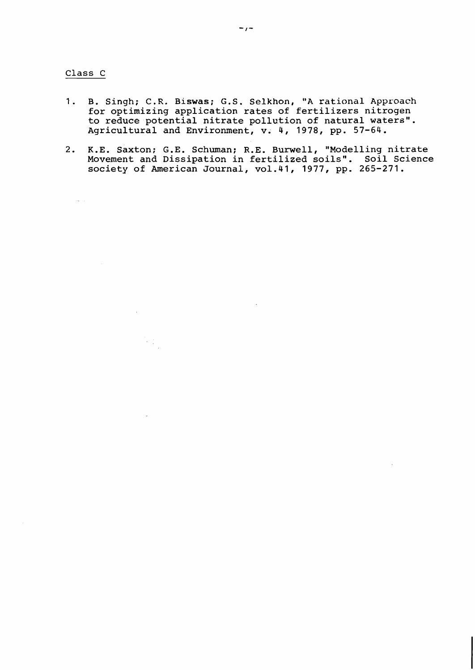Class C

 $\hat{\mathcal{A}}_{\text{max}}$ 

- 1. B. Singh; C.R. Biswas; G.S. Selkhon, "A rational Approach for optimizing application rates of fertilizers nitrogen to reduce potential nitrate pollution of natural waters". Agricultural and Environment, v. 4, 1978, pp. 57-64.
- 2. K.E. Saxton; G.E. Schuman; R.E. Burwell, "Modelling nitrate Movement and Dissipation in fertilized soils". Soil Science society of American Journal, vo1.41, 1977, pp. 265-271.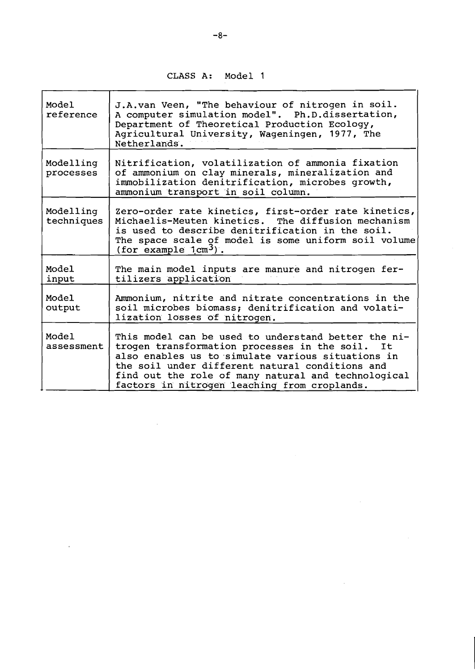$\mathbf{r}$ 

T

֒.

 $\sim 10^{-10}$ 

| Model<br>reference      | J.A.van Veen, "The behaviour of nitrogen in soil.<br>A computer simulation model". Ph.D.dissertation,<br>Department of Theoretical Production Ecology,<br>Agricultural University, Wageningen, 1977, The<br>Netherlands.                                                                                              |
|-------------------------|-----------------------------------------------------------------------------------------------------------------------------------------------------------------------------------------------------------------------------------------------------------------------------------------------------------------------|
| Modelling<br>processes  | Nitrification, volatilization of ammonia fixation<br>of ammonium on clay minerals, mineralization and<br>immobilization denitrification, microbes growth,<br>ammonium transport in soil column.                                                                                                                       |
| Modelling<br>techniques | Zero-order rate kinetics, first-order rate kinetics,<br>Michaelis-Meuten kinetics. The diffusion mechanism<br>is used to describe denitrification in the soil.<br>The space scale of model is some uniform soil volume<br>(for example $1cm3$ ).                                                                      |
| Model<br>input          | The main model inputs are manure and nitrogen fer-<br>tilizers application                                                                                                                                                                                                                                            |
| Model<br>output         | Ammonium, nitrite and nitrate concentrations in the<br>soil microbes biomass; denitrification and volati-<br>lization losses of nitrogen.                                                                                                                                                                             |
| Model<br>assessment     | This model can be used to understand better the ni-<br>trogen transformation processes in the soil. It<br>also enables us to simulate various situations in<br>the soil under different natural conditions and<br>find out the role of many natural and technological<br>factors in nitrogen leaching from croplands. |

 $\sim 10^{-1}$ 

 $\sim 10^{11}$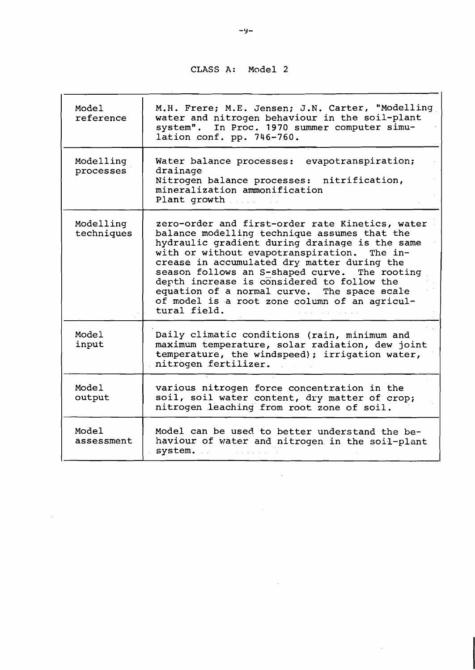| Model<br>reference      | M.H. Frere; M.E. Jensen; J.N. Carter, "Modelling<br>water and nitrogen behaviour in the soil-plant<br>system". In Proc. 1970 summer computer simu-<br>lation conf. pp. 746-760.                                                                                                                                                                                                                                                                                   |
|-------------------------|-------------------------------------------------------------------------------------------------------------------------------------------------------------------------------------------------------------------------------------------------------------------------------------------------------------------------------------------------------------------------------------------------------------------------------------------------------------------|
| Modelling<br>processes  | Water balance processes:<br>evapotranspiration;<br>drainage<br>Nitrogen balance processes:<br>nitrification,<br>mineralization ammonification<br>Plant growth                                                                                                                                                                                                                                                                                                     |
| Modelling<br>techniques | zero-order and first-order rate Kinetics, water<br>balance modelling technique assumes that the<br>hydraulic gradient during drainage is the same<br>with or without evapotranspiration.<br>The in-<br>crease in accumulated dry matter during the<br>season follows an S-shaped curve. The rooting<br>depth increase is considered to follow the<br>equation of a normal curve. The space scale<br>of model is a root zone column of an agricul-<br>tural field. |
| Model<br>input          | Daily climatic conditions (rain, minimum and<br>maximum temperature, solar radiation, dew joint<br>temperature, the windspeed); irrigation water,<br>nitrogen fertilizer.                                                                                                                                                                                                                                                                                         |
| Model<br>output         | various nitrogen force concentration in the<br>soil, soil water content, dry matter of crop;<br>nitrogen leaching from root zone of soil.                                                                                                                                                                                                                                                                                                                         |
| Model<br>assessment     | Model can be used to better understand the be-<br>haviour of water and nitrogen in the soil-plant<br>system.                                                                                                                                                                                                                                                                                                                                                      |

 $\label{eq:2.1} \frac{1}{2} \sum_{i=1}^n \frac{1}{2} \sum_{j=1}^n \frac{1}{2} \sum_{j=1}^n \frac{1}{2} \sum_{j=1}^n \frac{1}{2} \sum_{j=1}^n \frac{1}{2} \sum_{j=1}^n \frac{1}{2} \sum_{j=1}^n \frac{1}{2} \sum_{j=1}^n \frac{1}{2} \sum_{j=1}^n \frac{1}{2} \sum_{j=1}^n \frac{1}{2} \sum_{j=1}^n \frac{1}{2} \sum_{j=1}^n \frac{1}{2} \sum_{j=1}^n \frac{$ 

 $\label{eq:2.1} \mathcal{L}(\mathcal{L}^{\text{max}}_{\text{max}}(\mathcal{L}^{\text{max}}_{\text{max}}))$ 

 $\mathcal{L}^{\text{max}}_{\text{max}}$  ,  $\mathcal{L}^{\text{max}}_{\text{max}}$ 

 $\label{eq:2.1} \frac{1}{2} \sum_{i=1}^n \frac{1}{2} \sum_{j=1}^n \frac{1}{2} \sum_{j=1}^n \frac{1}{2} \sum_{j=1}^n \frac{1}{2} \sum_{j=1}^n \frac{1}{2} \sum_{j=1}^n \frac{1}{2} \sum_{j=1}^n \frac{1}{2} \sum_{j=1}^n \frac{1}{2} \sum_{j=1}^n \frac{1}{2} \sum_{j=1}^n \frac{1}{2} \sum_{j=1}^n \frac{1}{2} \sum_{j=1}^n \frac{1}{2} \sum_{j=1}^n \frac{$ 

 $\mathcal{L}^{\text{max}}_{\text{max}}$  ,  $\mathcal{L}^{\text{max}}_{\text{max}}$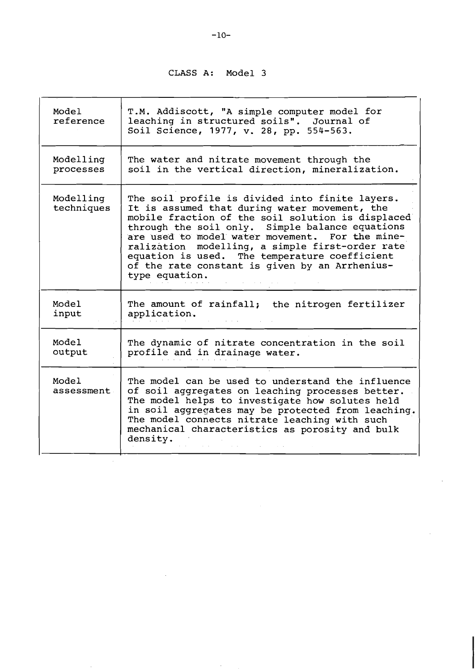| Model<br>reference      | T.M. Addiscott, "A simple computer model for<br>leaching in structured soils". Journal of<br>Soil Science, 1977, v. 28, pp. 554-563.                                                                                                                                                                                                                                                                                                |
|-------------------------|-------------------------------------------------------------------------------------------------------------------------------------------------------------------------------------------------------------------------------------------------------------------------------------------------------------------------------------------------------------------------------------------------------------------------------------|
| Modelling               | The water and nitrate movement through the                                                                                                                                                                                                                                                                                                                                                                                          |
| processes               | soil in the vertical direction, mineralization.                                                                                                                                                                                                                                                                                                                                                                                     |
| Modelling<br>techniques | The soil profile is divided into finite layers.<br>It is assumed that during water movement, the<br>mobile fraction of the soil solution is displaced<br>through the soil only. Simple balance equations<br>are used to model water movement. For the mine-<br>ralization modelling, a simple first-order rate<br>equation is used. The temperature coefficient<br>of the rate constant is given by an Arrhenius-<br>type equation. |
| Model                   | The amount of rainfall; the nitrogen fertilizer                                                                                                                                                                                                                                                                                                                                                                                     |
| input                   | application.                                                                                                                                                                                                                                                                                                                                                                                                                        |
| Model                   | The dynamic of nitrate concentration in the soil                                                                                                                                                                                                                                                                                                                                                                                    |
| output                  | profile and in drainage water.                                                                                                                                                                                                                                                                                                                                                                                                      |
| Model<br>assessment     | The model can be used to understand the influence<br>of soil aggregates on leaching processes better.<br>The model helps to investigate how solutes held<br>in soil aggregates may be protected from leaching.<br>The model connects nitrate leaching with such<br>mechanical characteristics as porosity and bulk<br>density.                                                                                                      |

 $\hat{\boldsymbol{\beta}}$ 

 $\sim$   $\sim$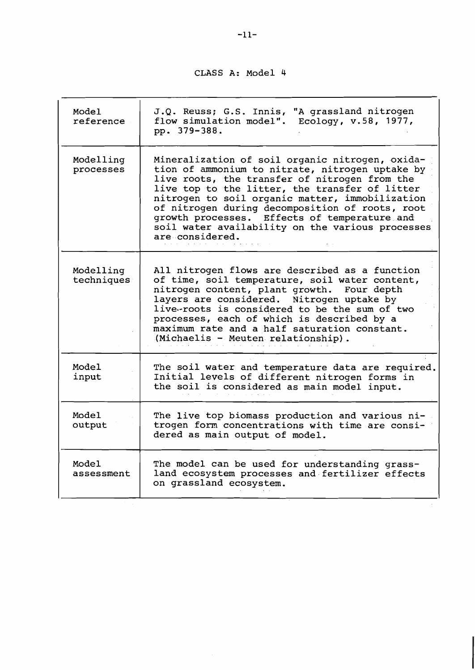| Model<br>reference      | J.Q. Reuss; G.S. Innis, "A grassland nitrogen<br>flow simulation model". Ecology, v.58, 1977,<br>pp. 379-388.                                                                                                                                                                                                                                                                                                                      |
|-------------------------|------------------------------------------------------------------------------------------------------------------------------------------------------------------------------------------------------------------------------------------------------------------------------------------------------------------------------------------------------------------------------------------------------------------------------------|
| Modelling<br>processes  | Mineralization of soil organic nitrogen, oxida-<br>tion of ammonium to nitrate, nitrogen uptake by<br>live roots, the transfer of nitrogen from the<br>live top to the litter, the transfer of litter<br>nitrogen to soil organic matter, immobilization<br>of nitrogen during decomposition of roots, root<br>growth processes. Effects of temperature and<br>soil water availability on the various processes<br>are considered. |
| Modelling<br>techniques | All nitrogen flows are described as a function<br>of time, soil temperature, soil water content,<br>nitrogen content, plant growth. Four depth<br>layers are considered. Nitrogen uptake by<br>live-roots is considered to be the sum of two<br>processes, each of which is described by a<br>maximum rate and a half saturation constant.<br>(Michaelis - Meuten relationship).                                                   |
| Model<br>input          | The soil water and temperature data are required.<br>Initial levels of different nitrogen forms in<br>the soil is considered as main model input.                                                                                                                                                                                                                                                                                  |
| Model<br>output         | The live top biomass production and various ni-<br>trogen form concentrations with time are consi-<br>dered as main output of model.                                                                                                                                                                                                                                                                                               |
| Model<br>assessment     | The model can be used for understanding grass-<br>land ecosystem processes and fertilizer effects<br>on grassland ecosystem.                                                                                                                                                                                                                                                                                                       |

 $\sim$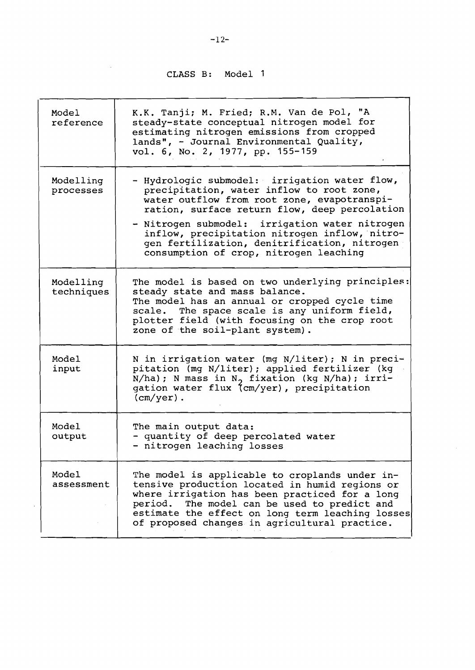$\sim 10^7$ 

| Model<br>reference      | K.K. Tanji; M. Fried; R.M. Van de Pol, "A<br>steady-state conceptual nitrogen model for<br>estimating nitrogen emissions from cropped<br>lands", - Journal Environmental Quality,<br>vol. 6, No. 2, 1977, pp. 155-159                                                                                                                                                                   |
|-------------------------|-----------------------------------------------------------------------------------------------------------------------------------------------------------------------------------------------------------------------------------------------------------------------------------------------------------------------------------------------------------------------------------------|
| Modelling<br>processes  | - Hydrologic submodel: irrigation water flow,<br>precipitation, water inflow to root zone,<br>water outflow from root zone, evapotranspi-<br>ration, surface return flow, deep percolation<br>- Nitrogen submodel: irrigation water nitrogen<br>inflow, precipitation nitrogen inflow, nitro-<br>gen fertilization, denitrification, nitrogen<br>consumption of crop, nitrogen leaching |
| Modelling<br>techniques | The model is based on two underlying principles:<br>steady state and mass balance.<br>The model has an annual or cropped cycle time<br>scale. The space scale is any uniform field,<br>plotter field (with focusing on the crop root<br>zone of the soil-plant system).                                                                                                                 |
| Model<br>input          | N in irrigation water (mg N/liter); N in preci-<br>pitation (mg N/liter); applied fertilizer (kg<br>N/ha) ; N mass in N <sub>2</sub> fixation (kg N/ha) ; irri-<br>gation water flux (cm/yer), precipitation<br>$(cm/yer)$ .                                                                                                                                                            |
| Model<br>output         | The main output data:<br>- quantity of deep percolated water<br>- nitrogen leaching losses                                                                                                                                                                                                                                                                                              |
| Model<br>assessment     | The model is applicable to croplands under in-<br>tensive production located in humid regions or<br>where irrigation has been practiced for a long<br>The model can be used to predict and<br>period.<br>estimate the effect on long term leaching losses<br>of proposed changes in agricultural practice.                                                                              |

 $\sim$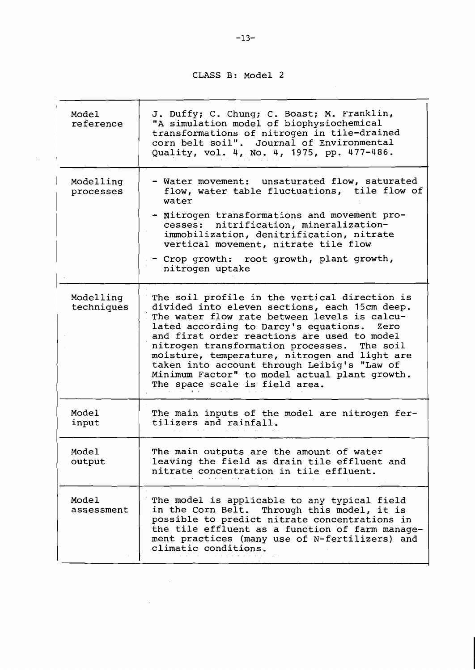$\sim 10^{-1}$ 

| Model<br>reference      | J. Duffy; C. Chung; C. Boast; M. Franklin,<br>"A simulation model of biophysiochemical<br>transformations of nitrogen in tile-drained<br>corn belt soil". Journal of Environmental<br>Quality, vol. 4, No. 4, 1975, pp. 477-486.                                                                                                                                                                                                                                                 |
|-------------------------|----------------------------------------------------------------------------------------------------------------------------------------------------------------------------------------------------------------------------------------------------------------------------------------------------------------------------------------------------------------------------------------------------------------------------------------------------------------------------------|
| Modelling<br>processes  | - Water movement: unsaturated flow, saturated<br>flow, water table fluctuations, tile flow of<br>water                                                                                                                                                                                                                                                                                                                                                                           |
|                         | - Nitrogen transformations and movement pro-<br>cesses: nitrification, mineralization-<br>immobilization, denitrification, nitrate<br>vertical movement, nitrate tile flow                                                                                                                                                                                                                                                                                                       |
|                         | - Crop growth: root growth, plant growth,<br>nitrogen uptake                                                                                                                                                                                                                                                                                                                                                                                                                     |
| Modelling<br>techniques | The soil profile in the vertical direction is<br>divided into eleven sections, each 15cm deep.<br>The water flow rate between levels is calcu-<br>lated according to Darcy's equations.<br>Zero<br>and first order reactions are used to model<br>nitrogen transformation processes. The soil<br>moisture, temperature, nitrogen and light are<br>taken into account through Leibig's "Law of<br>Minimum Factor" to model actual plant growth.<br>The space scale is field area. |
| Model<br>input          | The main inputs of the model are nitrogen fer-<br>tilizers and rainfall.                                                                                                                                                                                                                                                                                                                                                                                                         |
| Model<br>output         | The main outputs are the amount of water<br>leaving the field as drain tile effluent and<br>nitrate concentration in tile effluent.                                                                                                                                                                                                                                                                                                                                              |
| Model<br>assessment     | The model is applicable to any typical field<br>in the Corn Belt. Through this model, it is<br>possible to predict nitrate concentrations in<br>the tile effluent as a function of farm manage-<br>ment practices (many use of N-fertilizers) and<br>climatic conditions.                                                                                                                                                                                                        |

 $\label{eq:2.1} \frac{1}{\sqrt{2}}\left(\frac{1}{\sqrt{2}}\right)^{2} \left(\frac{1}{\sqrt{2}}\right)^{2} \left(\frac{1}{\sqrt{2}}\right)^{2} \left(\frac{1}{\sqrt{2}}\right)^{2} \left(\frac{1}{\sqrt{2}}\right)^{2} \left(\frac{1}{\sqrt{2}}\right)^{2} \left(\frac{1}{\sqrt{2}}\right)^{2} \left(\frac{1}{\sqrt{2}}\right)^{2} \left(\frac{1}{\sqrt{2}}\right)^{2} \left(\frac{1}{\sqrt{2}}\right)^{2} \left(\frac{1}{\sqrt{2}}\right)^{2} \left(\$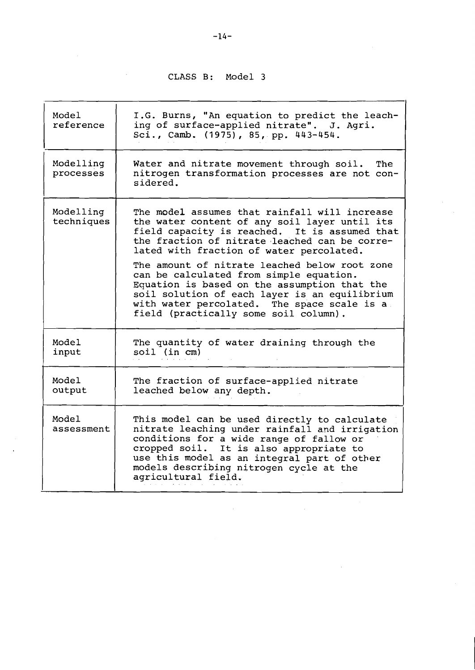| Model<br>reference      | I.G. Burns, "An equation to predict the leach-<br>ing of surface-applied nitrate". J. Agri.<br>Sci., Camb. (1975), 85, pp. 443-454.                                                                                                                                                                    |
|-------------------------|--------------------------------------------------------------------------------------------------------------------------------------------------------------------------------------------------------------------------------------------------------------------------------------------------------|
| Modelling<br>processes  | Water and nitrate movement through soil.<br>The<br>nitrogen transformation processes are not con-<br>sidered.                                                                                                                                                                                          |
| Modelling<br>techniques | The model assumes that rainfall will increase<br>the water content of any soil layer until its<br>field capacity is reached. It is assumed that<br>the fraction of nitrate leached can be corre-<br>lated with fraction of water percolated.                                                           |
|                         | The amount of nitrate leached below root zone<br>can be calculated from simple equation.<br>Equation is based on the assumption that the<br>soil solution of each layer is an equilibrium<br>with water percolated. The space scale is a<br>field (practically some soil column).                      |
| Model<br>input          | The quantity of water draining through the<br>soil (in cm)                                                                                                                                                                                                                                             |
| Model<br>output         | The fraction of surface-applied nitrate<br>leached below any depth.                                                                                                                                                                                                                                    |
| Model<br>assessment     | This model can be used directly to calculate<br>nitrate leaching under rainfall and irrigation<br>conditions for a wide range of fallow or<br>cropped soil. It is also appropriate to<br>use this model as an integral part of other<br>models describing nitrogen cycle at the<br>agricultural field. |

 $\sim 10^6$ 

 $\sim$   $\sim$ 

 $\mathcal{L}^{\text{max}}_{\text{max}}$ 

 $\mathcal{A}_\mathrm{c}$ 

 $\sim 10$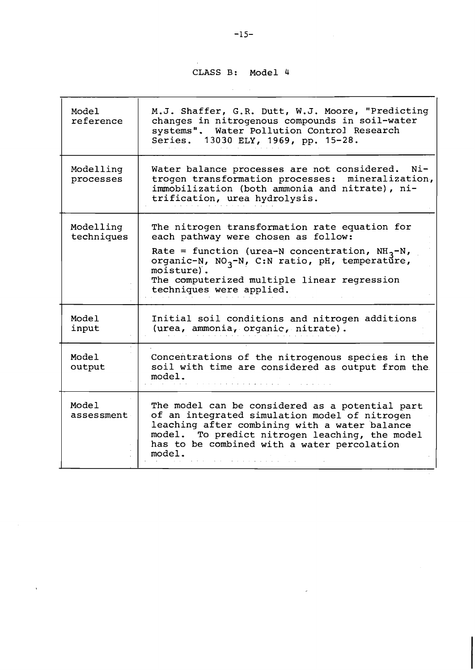$\sim 10^7$ 

 $\hat{\boldsymbol{\theta}}$ 

| Model<br>reference      | M.J. Shaffer, G.R. Dutt, W.J. Moore, "Predicting<br>changes in nitrogenous compounds in soil-water<br>systems". Water Pollution Control Research<br>Series. 13030 ELY, 1969, pp. 15-28.                                                                                                          |
|-------------------------|--------------------------------------------------------------------------------------------------------------------------------------------------------------------------------------------------------------------------------------------------------------------------------------------------|
| Modelling<br>processes  | Water balance processes are not considered. Ni-<br>trogen transformation processes: mineralization,<br>immobilization (both ammonia and nitrate), ni-<br>trification, urea hydrolysis.                                                                                                           |
| Modelling<br>techniques | The nitrogen transformation rate equation for<br>each pathway were chosen as follow:<br>Rate = function (urea-N concentration, $NH_3-N$ ,<br>organic-N, NO <sub>3</sub> -N, C:N ratio, pH, temperature,<br>moisture).<br>The computerized multiple linear regression<br>techniques were applied. |
| Model<br>input          | Initial soil conditions and nitrogen additions<br>(urea, ammonia, organic, nitrate).                                                                                                                                                                                                             |
| Model<br>output         | Concentrations of the nitrogenous species in the<br>soil with time are considered as output from the<br>model.                                                                                                                                                                                   |
| Model<br>assessment     | The model can be considered as a potential part<br>of an integrated simulation model of nitrogen<br>leaching after combining with a water balance<br>model. To predict nitrogen leaching, the model<br>has to be combined with a water percolation<br>model.                                     |

 $\mathcal{L}^{\text{max}}_{\text{max}}$ 

 $\sim 10^{11}$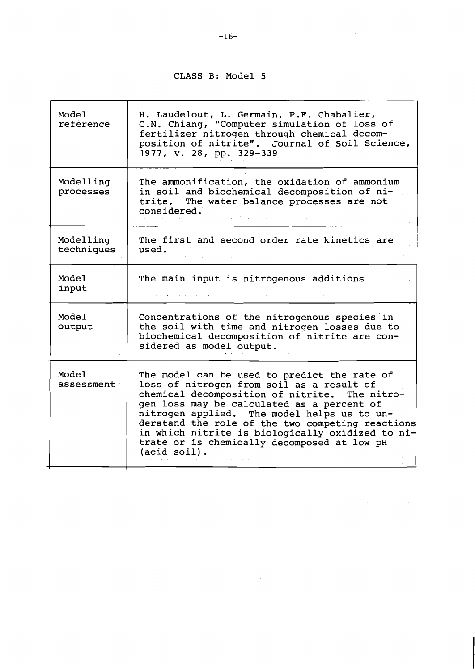| Model<br>reference      | H. Laudelout, L. Germain, P.F. Chabalier,<br>C.N. Chiang, "Computer simulation of loss of<br>fertilizer nitrogen through chemical decom-<br>position of nitrite". Journal of Soil Science,<br>1977, v. 28, pp. 329-339                                                                                                                                                                                                  |
|-------------------------|-------------------------------------------------------------------------------------------------------------------------------------------------------------------------------------------------------------------------------------------------------------------------------------------------------------------------------------------------------------------------------------------------------------------------|
| Modelling<br>processes  | The ammonification, the oxidation of ammonium<br>in soil and biochemical decomposition of ni-<br>trite. The water balance processes are not<br>considered.                                                                                                                                                                                                                                                              |
| Modelling<br>techniques | The first and second order rate kinetics are<br>used.                                                                                                                                                                                                                                                                                                                                                                   |
| Model<br>input          | The main input is nitrogenous additions                                                                                                                                                                                                                                                                                                                                                                                 |
| Model<br>output         | Concentrations of the nitrogenous species in<br>the soil with time and nitrogen losses due to<br>biochemical decomposition of nitrite are con-<br>sidered as model output.                                                                                                                                                                                                                                              |
| Model<br>assessment     | The model can be used to predict the rate of<br>loss of nitrogen from soil as a result of<br>chemical decomposition of nitrite. The nitro-<br>gen loss may be calculated as a percent of<br>nitrogen applied. The model helps us to un-<br>derstand the role of the two competing reactions<br>in which nitrite is biologically oxidized to ni-<br>trate or is chemically decomposed at low pH<br>$(\text{acid soil}).$ |

 $\mathcal{L}^{\text{max}}_{\text{max}}$  and  $\mathcal{L}^{\text{max}}_{\text{max}}$ 

**I** 

 $\mathcal{L}^{\mathcal{L}}(\mathcal{L}^{\mathcal{L}}(\mathcal{L}^{\mathcal{L}}(\mathcal{L}^{\mathcal{L}}(\mathcal{L}^{\mathcal{L}}(\mathcal{L}^{\mathcal{L}}(\mathcal{L}^{\mathcal{L}}(\mathcal{L}^{\mathcal{L}}(\mathcal{L}^{\mathcal{L}}(\mathcal{L}^{\mathcal{L}}(\mathcal{L}^{\mathcal{L}}(\mathcal{L}^{\mathcal{L}}(\mathcal{L}^{\mathcal{L}}(\mathcal{L}^{\mathcal{L}}(\mathcal{L}^{\mathcal{L}}(\mathcal{L}^{\mathcal{L}}(\mathcal{L}^{\mathcal{L$ 

and the control of the control of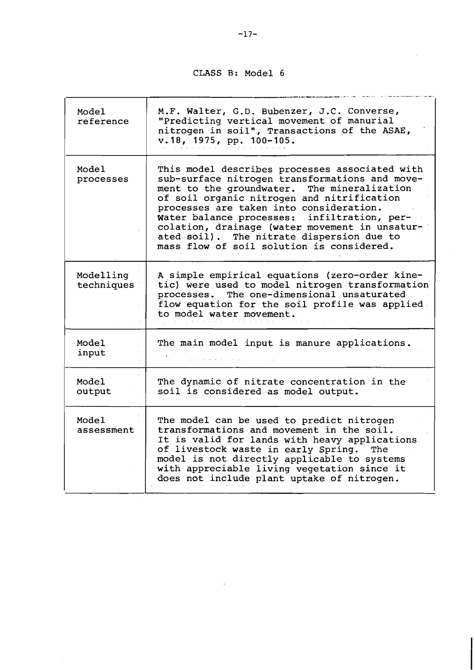| Model<br>reference      | M.F. Walter, G.D. Bubenzer, J.C. Converse,<br>"Predicting vertical movement of manurial.<br>nitrogen in soil", Transactions of the ASAE,<br>$v.18$ , 1975, pp. 100-105.                                                                                                                                                                                                                                                             |
|-------------------------|-------------------------------------------------------------------------------------------------------------------------------------------------------------------------------------------------------------------------------------------------------------------------------------------------------------------------------------------------------------------------------------------------------------------------------------|
| Model<br>processes      | This model describes processes associated with<br>sub-surface nitrogen transformations and move-<br>ment to the groundwater. The mineralization<br>of soil organic nitrogen and nitrification<br>processes are taken into consideration.<br>Water balance processes: infiltration, per-<br>colation, drainage (water movement in unsatur-<br>ated soil). The nitrate dispersion due to<br>mass flow of soil solution is considered. |
| Modelling<br>techniques | A simple empirical equations (zero-order kine-<br>tic) were used to model nitrogen transformation<br>processes. The one-dimensional unsaturated<br>flow equation for the soil profile was applied.<br>to model water movement.                                                                                                                                                                                                      |
| Model<br>input          | The main model input is manure applications.                                                                                                                                                                                                                                                                                                                                                                                        |
| Model<br>output         | The dynamic of nitrate concentration in the<br>soil is considered as model output.                                                                                                                                                                                                                                                                                                                                                  |
| Model<br>assessment     | The model can be used to predict nitrogen<br>transformations and movement in the soil.<br>It is valid for lands with heavy applications<br>of livestock waste in early Spring.<br>The<br>model is not directly applicable to systems<br>with appreciable living vegetation since it<br>does not include plant uptake of nitrogen.                                                                                                   |

 $\sim 10^{11}$ 

 $\mathcal{L}^{\text{max}}_{\text{max}}$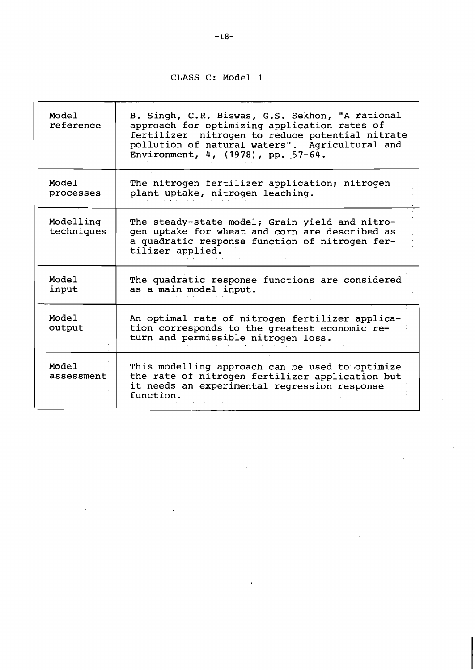| Model<br>reference      | B. Singh, C.R. Biswas, G.S. Sekhon, "A rational<br>approach for optimizing application rates of<br>fertilizer nitrogen to reduce potential nitrate<br>pollution of natural waters". Agricultural and<br>Environment, 4, (1978), pp. 57-64. |
|-------------------------|--------------------------------------------------------------------------------------------------------------------------------------------------------------------------------------------------------------------------------------------|
| Model<br>processes      | The nitrogen fertilizer application; nitrogen<br>plant uptake, nitrogen leaching.                                                                                                                                                          |
| Modelling<br>techniques | The steady-state model; Grain yield and nitro-<br>gen uptake for wheat and corn are described as<br>a quadratic response function of nitrogen fer-<br>tilizer applied.                                                                     |
| Model<br>input          | The quadratic response functions are considered<br>as a main model input.                                                                                                                                                                  |
| Model<br>output         | An optimal rate of nitrogen fertilizer applica-<br>tion corresponds to the greatest economic re-<br>turn and permissible nitrogen loss.                                                                                                    |
| Model<br>assessment     | This modelling approach can be used to optimize<br>the rate of nitrogen fertilizer application but<br>it needs an experimental regression response<br>function.                                                                            |

 $\mathcal{A}^{(1)}$  .

 $\ddot{\phantom{1}}$ 

 $\overline{\phantom{a}}$ 

 $\sim 10^7$ 

 $\sim$ 

 $\sim$   $\sim$ 

 $\sim 10$ 

 $\mathcal{A}^{\mathcal{A}}$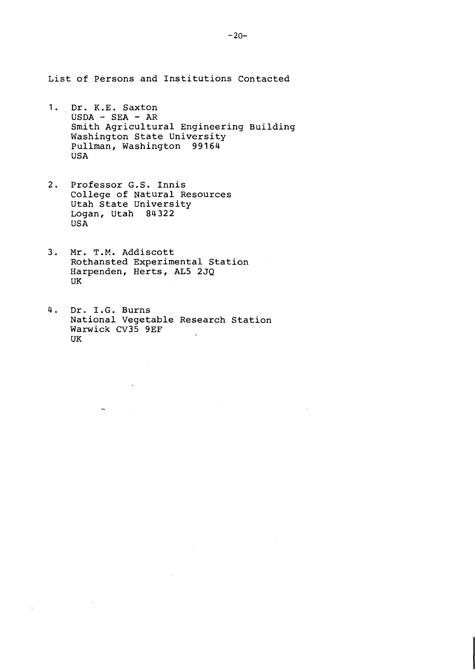List of Persons and Institutions Contacted

- **1.** Dr. K.E. Saxton  $USDA - SEA - AR$ Smith Agricultural Engineering Building Washington State University Pullman, Washington **99164**  USA
- 2. Professor G.S. Innis College of Natural Resources Utah State University Logan, Utah **84322**  USA
- 3. Mr. **T.K.** Addiscott Rothansted Experimental Station Harpenden, Herts, AL5 **2JQ**  UK
- 4. Dr. I.G. Burns National Vegetable Research Station Warwick CV35 9EF  $\mathcal{L}^{\mathcal{L}}$ UK

 $\sim 10^7$ 

 $\sim 10^7$ 

 $\Delta \phi$  and  $\phi$  and  $\phi$ 

 $\sim$ 

 $\bar{\mathcal{A}}$